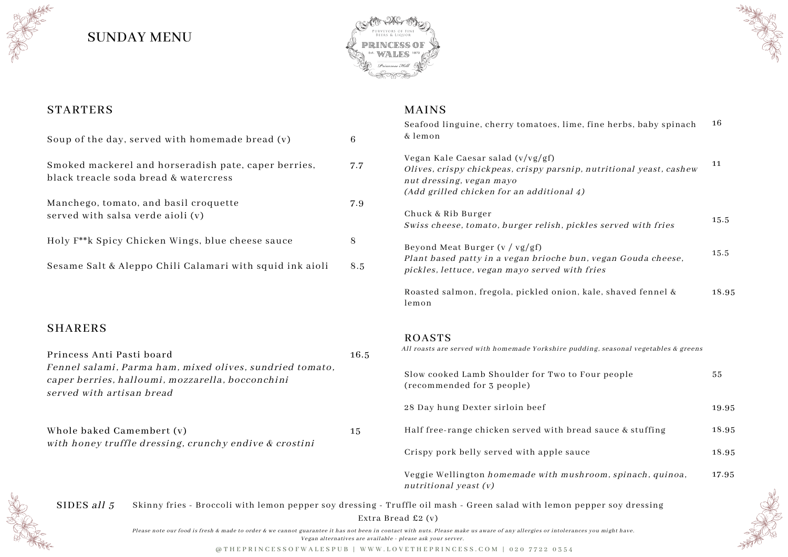#### MAINS



@ T H E P R I N C E S S O F W A L E S P U B | W W W . L O V E T H E P R I N C E S S . C O M | 0 2 0 7 7 2 2 0 3 5 4



| ine herbs, baby spinach                                                           | 16    |
|-----------------------------------------------------------------------------------|-------|
| utritional yeast, cashew                                                          | 11    |
| es served with fries                                                              | 15.5  |
| vegan Gouda cheese,<br>$\dot{\boldsymbol{\varOmega}}\boldsymbol{e}\boldsymbol{s}$ | 15.5  |
| le, shaved fennel &                                                               | 18.95 |
|                                                                                   |       |
| ng, seasonal vegetables & greens                                                  |       |
| ur people                                                                         | 55    |
|                                                                                   | 19.95 |
| sauce & stuffing                                                                  | 18.95 |

vom, spinach, quinoa, 17.95



### **SHARERS**

| oup of the day, served with homemade bread (v)                                                                                         | 6    | Seafood linguine, cherry tomatoes, lime, fine herbs, baby spinach<br>& lemon                                                                                                        |
|----------------------------------------------------------------------------------------------------------------------------------------|------|-------------------------------------------------------------------------------------------------------------------------------------------------------------------------------------|
| moked mackerel and horseradish pate, caper berries,<br>lack treacle soda bread & watercress                                            | 7.7  | Vegan Kale Caesar salad $(v/vg/gf)$<br>Olives, crispy chickpeas, crispy parsnip, nutritional yeast, cashew<br>nut dressing, vegan mayo<br>(Add grilled chicken for an additional 4) |
| [anchego, tomato, and basil croquette]<br>erved with salsa verde aioli (v)                                                             | 7.9  | Chuck & Rib Burger<br>Swiss cheese, tomato, burger relish, pickles served with fries                                                                                                |
| oly F**k Spicy Chicken Wings, blue cheese sauce                                                                                        | 8    | Beyond Meat Burger (v / vg/gf)                                                                                                                                                      |
| esame Salt & Aleppo Chili Calamari with squid ink aioli                                                                                | 8.5  | Plant based patty in a vegan brioche bun, vegan Gouda cheese,<br>pickles, lettuce, vegan mayo served with fries                                                                     |
|                                                                                                                                        |      | Roasted salmon, fregola, pickled onion, kale, shaved fennel &<br>lemon                                                                                                              |
| <b>HARERS</b>                                                                                                                          |      | ROASTS                                                                                                                                                                              |
| rincess Anti Pasti board                                                                                                               | 16.5 | All roasts are served with homemade Yorkshire pudding, seasonal vegetables & greens                                                                                                 |
| ennel salami, Parma ham, mixed olives, sundried tomato,<br>aper berries, halloumi, mozzarella, bocconchini<br>erved with artisan bread |      | Slow cooked Lamb Shoulder for Two to Four people<br>(recommended for 3 people)                                                                                                      |
|                                                                                                                                        |      | 28 Day hung Dexter sirloin beef                                                                                                                                                     |
| hole baked Camembert (v)<br>ith honey truffle dressing, crunchy endive & crostini                                                      | 15   | Half free-range chicken served with bread sauce & stuffing                                                                                                                          |
|                                                                                                                                        |      | Crispy pork belly served with apple sauce                                                                                                                                           |
|                                                                                                                                        |      | Veggie Wellington homemade with mushroom, spinach, quinoa,<br>nutritional yeast (v)                                                                                                 |
| SIDES all 5                                                                                                                            |      | Skinny fries - Broccoli with lemon pepper soy dressing - Truffle oil mash - Green salad with lemon pepper soy dressing<br>Extra Bread £2 (v)                                        |
|                                                                                                                                        |      |                                                                                                                                                                                     |

16

18.95

Please note our food is fresh & made to order & we cannot guarantee it has not been in contact with nuts. Please make us aware of any allergies or intolerances you might have. Vegan alternatives are available - please ask your server.





# SUNDAY MENU

### **STARTERS**